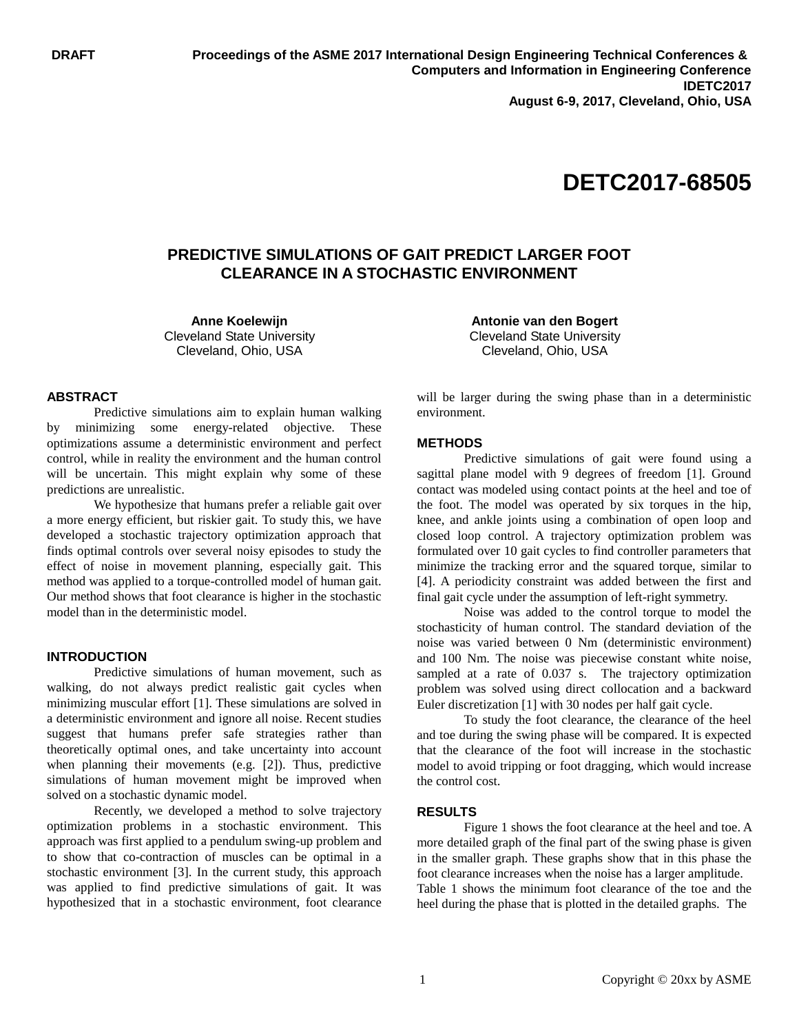# **DETC2017-68505**

# **PREDICTIVE SIMULATIONS OF GAIT PREDICT LARGER FOOT CLEARANCE IN A STOCHASTIC ENVIRONMENT**

**Anne Koelewijn** Cleveland State University Cleveland, Ohio, USA

#### **ABSTRACT**

Predictive simulations aim to explain human walking by minimizing some energy-related objective. These optimizations assume a deterministic environment and perfect control, while in reality the environment and the human control will be uncertain. This might explain why some of these predictions are unrealistic.

We hypothesize that humans prefer a reliable gait over a more energy efficient, but riskier gait. To study this, we have developed a stochastic trajectory optimization approach that finds optimal controls over several noisy episodes to study the effect of noise in movement planning, especially gait. This method was applied to a torque-controlled model of human gait. Our method shows that foot clearance is higher in the stochastic model than in the deterministic model.

#### **INTRODUCTION**

Predictive simulations of human movement, such as walking, do not always predict realistic gait cycles when minimizing muscular effort [1]. These simulations are solved in a deterministic environment and ignore all noise. Recent studies suggest that humans prefer safe strategies rather than theoretically optimal ones, and take uncertainty into account when planning their movements (e.g. [2]). Thus, predictive simulations of human movement might be improved when solved on a stochastic dynamic model.

Recently, we developed a method to solve trajectory optimization problems in a stochastic environment. This approach was first applied to a pendulum swing-up problem and to show that co-contraction of muscles can be optimal in a stochastic environment [3]. In the current study, this approach was applied to find predictive simulations of gait. It was hypothesized that in a stochastic environment, foot clearance

**Antonie van den Bogert** Cleveland State University Cleveland, Ohio, USA

will be larger during the swing phase than in a deterministic environment.

#### **METHODS**

Predictive simulations of gait were found using a sagittal plane model with 9 degrees of freedom [1]. Ground contact was modeled using contact points at the heel and toe of the foot. The model was operated by six torques in the hip, knee, and ankle joints using a combination of open loop and closed loop control. A trajectory optimization problem was formulated over 10 gait cycles to find controller parameters that minimize the tracking error and the squared torque, similar to [4]. A periodicity constraint was added between the first and final gait cycle under the assumption of left-right symmetry.

Noise was added to the control torque to model the stochasticity of human control. The standard deviation of the noise was varied between 0 Nm (deterministic environment) and 100 Nm. The noise was piecewise constant white noise, sampled at a rate of 0.037 s. The trajectory optimization problem was solved using direct collocation and a backward Euler discretization [1] with 30 nodes per half gait cycle.

To study the foot clearance, the clearance of the heel and toe during the swing phase will be compared. It is expected that the clearance of the foot will increase in the stochastic model to avoid tripping or foot dragging, which would increase the control cost.

# **RESULTS**

Figure 1 shows the foot clearance at the heel and toe. A more detailed graph of the final part of the swing phase is given in the smaller graph. These graphs show that in this phase the foot clearance increases when the noise has a larger amplitude. Table 1 shows the minimum foot clearance of the toe and the heel during the phase that is plotted in the detailed graphs. The